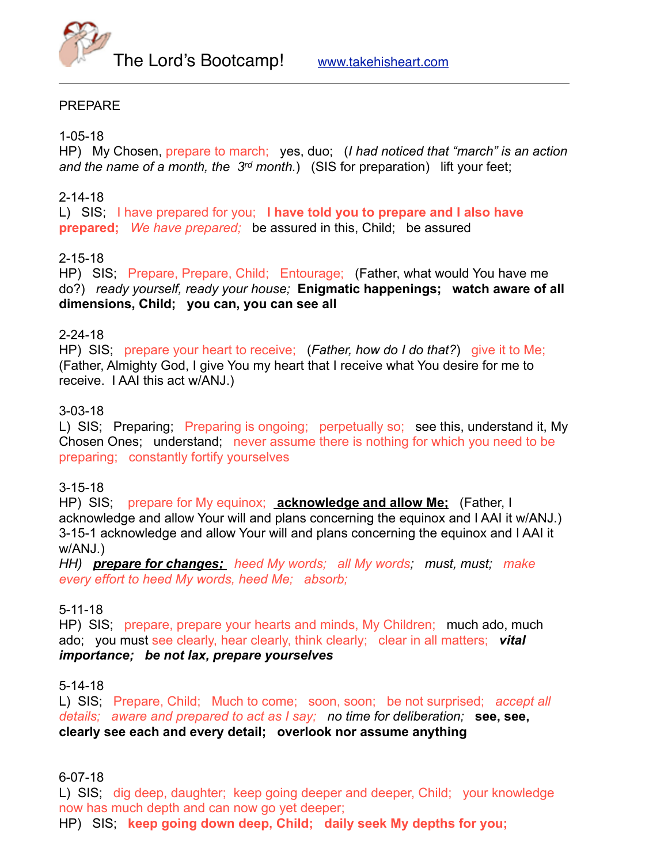

# PREPARE

1-05-18

HP) My Chosen, prepare to march; yes, duo; (*I had noticed that "march" is an action and the name of a month, the 3rd month.*) (SIS for preparation) lift your feet;

### 2-14-18

L) SIS; I have prepared for you; **I have told you to prepare and I also have prepared;** *We have prepared;* be assured in this, Child; be assured

### 2-15-18

HP) SIS; Prepare, Prepare, Child; Entourage; (Father, what would You have me do?) *ready yourself, ready your house;* **Enigmatic happenings; watch aware of all dimensions, Child; you can, you can see all**

# 2-24-18

HP) SIS; prepare your heart to receive; (*Father, how do I do that?*) give it to Me; (Father, Almighty God, I give You my heart that I receive what You desire for me to receive. I AAI this act w/ANJ.)

### 3-03-18

L) SIS; Preparing; Preparing is ongoing; perpetually so; see this, understand it, My Chosen Ones; understand; never assume there is nothing for which you need to be preparing; constantly fortify yourselves

# 3-15-18

HP) SIS; prepare for My equinox; **acknowledge and allow Me;** (Father, I acknowledge and allow Your will and plans concerning the equinox and I AAI it w/ANJ.) 3-15-1 acknowledge and allow Your will and plans concerning the equinox and I AAI it w/ANJ.)

*HH) prepare for changes; heed My words; all My words; must, must; make every effort to heed My words, heed Me; absorb;* 

# 5-11-18

HP) SIS; prepare, prepare your hearts and minds, My Children; much ado, much ado; you must see clearly, hear clearly, think clearly; clear in all matters; *vital importance; be not lax, prepare yourselves*

#### 5-14-18

L) SIS; Prepare, Child; Much to come; soon, soon; be not surprised; *accept all details; aware and prepared to act as I say; no time for deliberation;* **see, see, clearly see each and every detail; overlook nor assume anything**

6-07-18

L) SIS; dig deep, daughter; keep going deeper and deeper, Child; your knowledge now has much depth and can now go yet deeper;

HP) SIS; **keep going down deep, Child; daily seek My depths for you;**